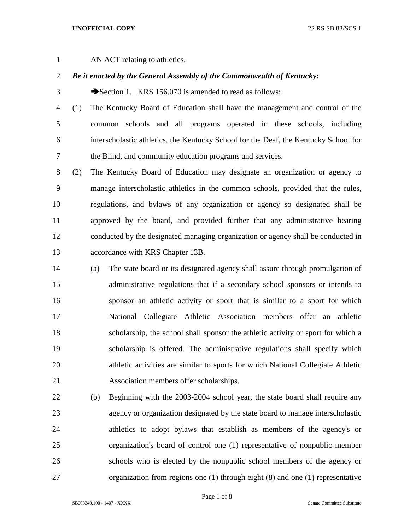## **UNOFFICIAL COPY** 22 RS SB 83/SCS 1

AN ACT relating to athletics.

## *Be it enacted by the General Assembly of the Commonwealth of Kentucky:*

3 Section 1. KRS 156.070 is amended to read as follows:

 (1) The Kentucky Board of Education shall have the management and control of the common schools and all programs operated in these schools, including interscholastic athletics, the Kentucky School for the Deaf, the Kentucky School for the Blind, and community education programs and services.

 (2) The Kentucky Board of Education may designate an organization or agency to manage interscholastic athletics in the common schools, provided that the rules, regulations, and bylaws of any organization or agency so designated shall be approved by the board, and provided further that any administrative hearing conducted by the designated managing organization or agency shall be conducted in accordance with KRS Chapter 13B.

- (a) The state board or its designated agency shall assure through promulgation of administrative regulations that if a secondary school sponsors or intends to sponsor an athletic activity or sport that is similar to a sport for which National Collegiate Athletic Association members offer an athletic scholarship, the school shall sponsor the athletic activity or sport for which a scholarship is offered. The administrative regulations shall specify which athletic activities are similar to sports for which National Collegiate Athletic Association members offer scholarships.
- (b) Beginning with the 2003-2004 school year, the state board shall require any agency or organization designated by the state board to manage interscholastic athletics to adopt bylaws that establish as members of the agency's or organization's board of control one (1) representative of nonpublic member schools who is elected by the nonpublic school members of the agency or organization from regions one (1) through eight (8) and one (1) representative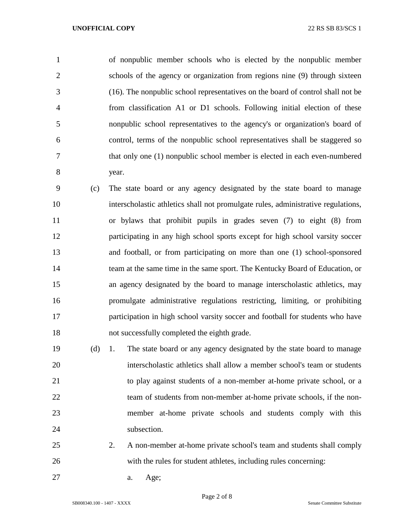of nonpublic member schools who is elected by the nonpublic member schools of the agency or organization from regions nine (9) through sixteen (16). The nonpublic school representatives on the board of control shall not be from classification A1 or D1 schools. Following initial election of these nonpublic school representatives to the agency's or organization's board of control, terms of the nonpublic school representatives shall be staggered so that only one (1) nonpublic school member is elected in each even-numbered year.

 (c) The state board or any agency designated by the state board to manage interscholastic athletics shall not promulgate rules, administrative regulations, or bylaws that prohibit pupils in grades seven (7) to eight (8) from participating in any high school sports except for high school varsity soccer and football, or from participating on more than one (1) school-sponsored team at the same time in the same sport. The Kentucky Board of Education, or an agency designated by the board to manage interscholastic athletics, may promulgate administrative regulations restricting, limiting, or prohibiting participation in high school varsity soccer and football for students who have not successfully completed the eighth grade.

 (d) 1. The state board or any agency designated by the state board to manage interscholastic athletics shall allow a member school's team or students to play against students of a non-member at-home private school, or a 22 team of students from non-member at-home private schools, if the non- member at-home private schools and students comply with this 24 subsection.

- 2. A non-member at-home private school's team and students shall comply with the rules for student athletes, including rules concerning:
- a. Age;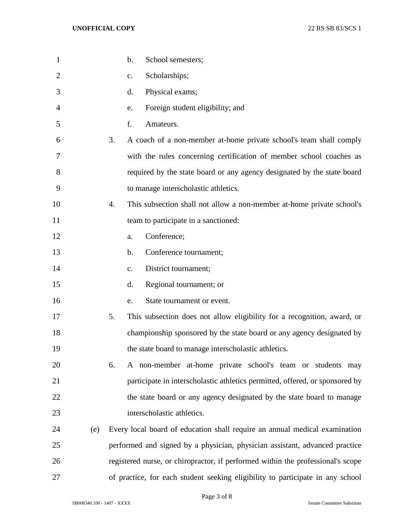| $\mathbf{1}$ |     | b.<br>School semesters;                                                         |
|--------------|-----|---------------------------------------------------------------------------------|
| 2            |     | Scholarships;<br>c.                                                             |
| 3            |     | Physical exams;<br>d.                                                           |
| 4            |     | Foreign student eligibility; and<br>e.                                          |
| 5            |     | f.<br>Amateurs.                                                                 |
| 6            |     | 3.<br>A coach of a non-member at-home private school's team shall comply        |
| 7            |     | with the rules concerning certification of member school coaches as             |
| 8            |     | required by the state board or any agency designated by the state board         |
| 9            |     | to manage interscholastic athletics.                                            |
| 10           |     | This subsection shall not allow a non-member at-home private school's<br>4.     |
| 11           |     | team to participate in a sanctioned:                                            |
| 12           |     | Conference;<br>a.                                                               |
| 13           |     | Conference tournament;<br>b.                                                    |
| 14           |     | District tournament;<br>c.                                                      |
| 15           |     | Regional tournament; or<br>d.                                                   |
| 16           |     | State tournament or event.<br>e.                                                |
| 17           |     | 5.<br>This subsection does not allow eligibility for a recognition, award, or   |
| 18           |     | championship sponsored by the state board or any agency designated by           |
| 19           |     | the state board to manage interscholastic athletics.                            |
| 20           |     | A non-member at-home private school's team or students may<br>6.                |
| 21           |     | participate in interscholastic athletics permitted, offered, or sponsored by    |
| 22           |     | the state board or any agency designated by the state board to manage           |
| 23           |     | interscholastic athletics.                                                      |
| 24           | (e) | Every local board of education shall require an annual medical examination      |
| 25           |     | performed and signed by a physician, physician assistant, advanced practice     |
| 26           |     | registered nurse, or chiropractor, if performed within the professional's scope |
| 27           |     | of practice, for each student seeking eligibility to participate in any school  |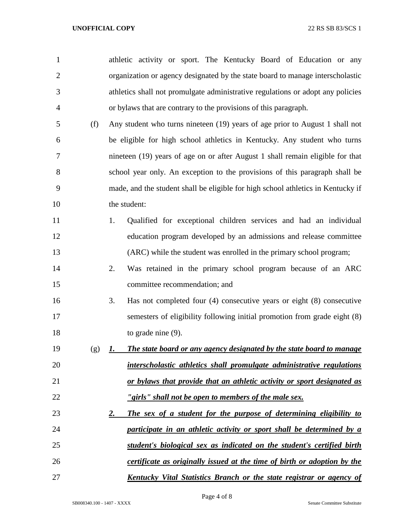| $\mathbf{1}$   |     | athletic activity or sport. The Kentucky Board of Education or any               |
|----------------|-----|----------------------------------------------------------------------------------|
| $\overline{2}$ |     | organization or agency designated by the state board to manage interscholastic   |
| 3              |     | athletics shall not promulgate administrative regulations or adopt any policies  |
| 4              |     | or bylaws that are contrary to the provisions of this paragraph.                 |
| 5              | (f) | Any student who turns nineteen (19) years of age prior to August 1 shall not     |
| 6              |     | be eligible for high school athletics in Kentucky. Any student who turns         |
| 7              |     | nineteen (19) years of age on or after August 1 shall remain eligible for that   |
| 8              |     | school year only. An exception to the provisions of this paragraph shall be      |
| 9              |     | made, and the student shall be eligible for high school athletics in Kentucky if |
| 10             |     | the student:                                                                     |
| 11             |     | Qualified for exceptional children services and had an individual<br>1.          |
| 12             |     | education program developed by an admissions and release committee               |
| 13             |     | (ARC) while the student was enrolled in the primary school program;              |
| 14             |     | Was retained in the primary school program because of an ARC<br>2.               |
| 15             |     | committee recommendation; and                                                    |
| 16             |     | Has not completed four $(4)$ consecutive years or eight $(8)$ consecutive<br>3.  |
| 17             |     | semesters of eligibility following initial promotion from grade eight (8)        |
| 18             |     | to grade nine $(9)$ .                                                            |
| 19             | (g) | The state board or any agency designated by the state board to manage<br>1.      |
| 20             |     | interscholastic athletics shall promulgate administrative regulations            |
| 21             |     | or bylaws that provide that an athletic activity or sport designated as          |
| 22             |     | "girls" shall not be open to members of the male sex.                            |
| 23             |     | The sex of a student for the purpose of determining eligibility to<br><u>2.</u>  |
| 24             |     | participate in an athletic activity or sport shall be determined by a            |
| 25             |     | student's biological sex as indicated on the student's certified birth           |
| 26             |     | certificate as originally issued at the time of birth or adoption by the         |
| 27             |     | <u>Kentucky Vital Statistics Branch or the state registrar or agency of</u>      |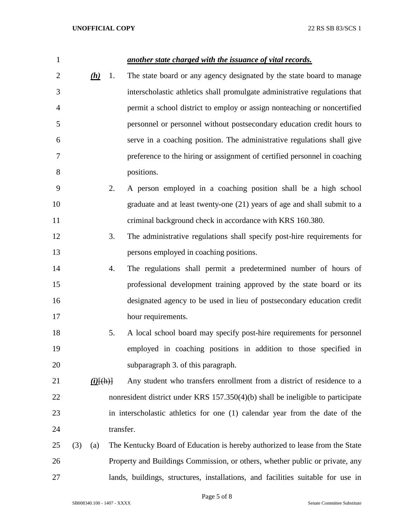| 1              |     |             |    | another state charged with the issuance of vital records.                       |
|----------------|-----|-------------|----|---------------------------------------------------------------------------------|
| $\overline{2}$ |     | (h)         | 1. | The state board or any agency designated by the state board to manage           |
| 3              |     |             |    | interscholastic athletics shall promulgate administrative regulations that      |
| 4              |     |             |    | permit a school district to employ or assign nonteaching or noncertified        |
| 5              |     |             |    | personnel or personnel without postsecondary education credit hours to          |
| 6              |     |             |    | serve in a coaching position. The administrative regulations shall give         |
| 7              |     |             |    | preference to the hiring or assignment of certified personnel in coaching       |
| 8              |     |             |    | positions.                                                                      |
| 9              |     |             | 2. | A person employed in a coaching position shall be a high school                 |
| 10             |     |             |    | graduate and at least twenty-one (21) years of age and shall submit to a        |
| 11             |     |             |    | criminal background check in accordance with KRS 160.380.                       |
| 12             |     |             | 3. | The administrative regulations shall specify post-hire requirements for         |
| 13             |     |             |    | persons employed in coaching positions.                                         |
| 14             |     |             | 4. | The regulations shall permit a predetermined number of hours of                 |
| 15             |     |             |    | professional development training approved by the state board or its            |
| 16             |     |             |    | designated agency to be used in lieu of postsecondary education credit          |
| 17             |     |             |    | hour requirements.                                                              |
| 18             |     |             | 5. | A local school board may specify post-hire requirements for personnel           |
| 19             |     |             |    | employed in coaching positions in addition to those specified in                |
| 20             |     |             |    | subparagraph 3. of this paragraph.                                              |
| 21             |     | $(i)$ [(h)] |    | Any student who transfers enrollment from a district of residence to a          |
| 22             |     |             |    | nonresident district under KRS 157.350(4)(b) shall be ineligible to participate |
| 23             |     |             |    | in interscholastic athletics for one (1) calendar year from the date of the     |
| 24             |     |             |    | transfer.                                                                       |
| 25             | (3) | (a)         |    | The Kentucky Board of Education is hereby authorized to lease from the State    |
| 26             |     |             |    | Property and Buildings Commission, or others, whether public or private, any    |
| 27             |     |             |    | lands, buildings, structures, installations, and facilities suitable for use in |

Page 5 of 8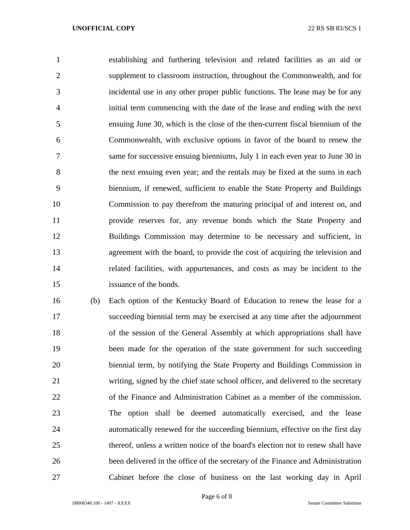## **UNOFFICIAL COPY** 22 RS SB 83/SCS 1

 establishing and furthering television and related facilities as an aid or supplement to classroom instruction, throughout the Commonwealth, and for incidental use in any other proper public functions. The lease may be for any initial term commencing with the date of the lease and ending with the next ensuing June 30, which is the close of the then-current fiscal biennium of the Commonwealth, with exclusive options in favor of the board to renew the same for successive ensuing bienniums, July 1 in each even year to June 30 in the next ensuing even year; and the rentals may be fixed at the sums in each biennium, if renewed, sufficient to enable the State Property and Buildings Commission to pay therefrom the maturing principal of and interest on, and provide reserves for, any revenue bonds which the State Property and Buildings Commission may determine to be necessary and sufficient, in agreement with the board, to provide the cost of acquiring the television and related facilities, with appurtenances, and costs as may be incident to the issuance of the bonds.

 (b) Each option of the Kentucky Board of Education to renew the lease for a succeeding biennial term may be exercised at any time after the adjournment of the session of the General Assembly at which appropriations shall have 19 been made for the operation of the state government for such succeeding biennial term, by notifying the State Property and Buildings Commission in writing, signed by the chief state school officer, and delivered to the secretary of the Finance and Administration Cabinet as a member of the commission. The option shall be deemed automatically exercised, and the lease automatically renewed for the succeeding biennium, effective on the first day thereof, unless a written notice of the board's election not to renew shall have been delivered in the office of the secretary of the Finance and Administration Cabinet before the close of business on the last working day in April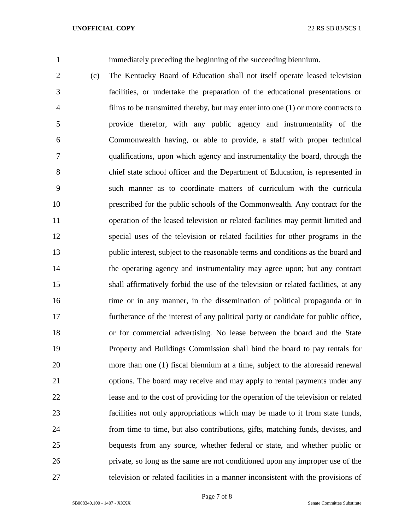immediately preceding the beginning of the succeeding biennium.

 (c) The Kentucky Board of Education shall not itself operate leased television facilities, or undertake the preparation of the educational presentations or films to be transmitted thereby, but may enter into one (1) or more contracts to provide therefor, with any public agency and instrumentality of the Commonwealth having, or able to provide, a staff with proper technical qualifications, upon which agency and instrumentality the board, through the chief state school officer and the Department of Education, is represented in such manner as to coordinate matters of curriculum with the curricula prescribed for the public schools of the Commonwealth. Any contract for the operation of the leased television or related facilities may permit limited and special uses of the television or related facilities for other programs in the public interest, subject to the reasonable terms and conditions as the board and the operating agency and instrumentality may agree upon; but any contract shall affirmatively forbid the use of the television or related facilities, at any time or in any manner, in the dissemination of political propaganda or in furtherance of the interest of any political party or candidate for public office, or for commercial advertising. No lease between the board and the State Property and Buildings Commission shall bind the board to pay rentals for more than one (1) fiscal biennium at a time, subject to the aforesaid renewal options. The board may receive and may apply to rental payments under any lease and to the cost of providing for the operation of the television or related facilities not only appropriations which may be made to it from state funds, from time to time, but also contributions, gifts, matching funds, devises, and bequests from any source, whether federal or state, and whether public or private, so long as the same are not conditioned upon any improper use of the television or related facilities in a manner inconsistent with the provisions of